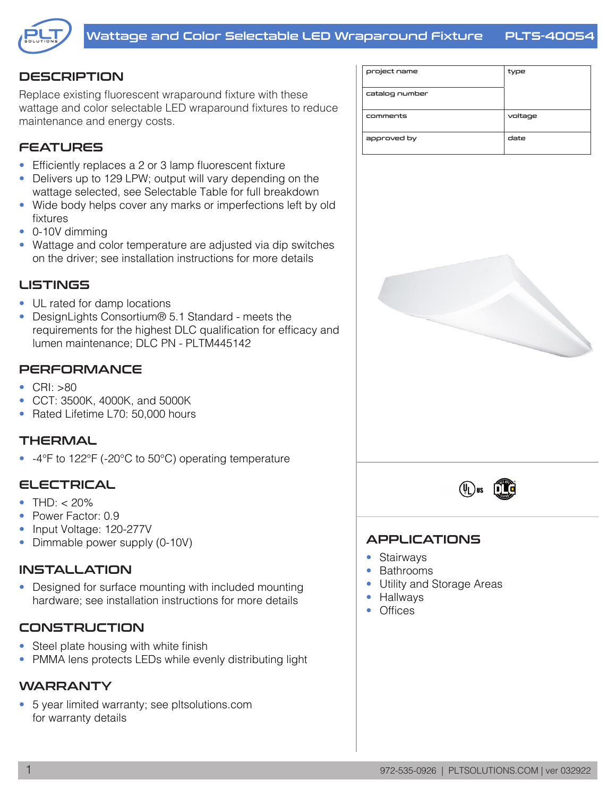

# **DESCRIPTION**

Replace existing fluorescent wraparound fixture with these wattage and color selectable LED wraparound fixtures to reduce maintenance and energy costs.

# **FEATURES**

- Efficiently replaces a 2 or 3 lamp fluorescent fixture
- Delivers up to 129 LPW; output will vary depending on the wattage selected, see Selectable Table for full breakdown
- Wide body helps cover any marks or imperfections left by old fixtures
- 0-10V dimming
- Wattage and color temperature are adjusted via dip switches on the driver; see installation instructions for more details

### **LISTINGS**

- UL rated for damp locations
- DesignLights Consortium® 5.1 Standard meets the requirements for the highest DLC qualification for efficacy and lumen maintenance; DLC PN - PLTM445142

## **PERFORMANCE**

- CRI: >80
- CCT: 3500K, 4000K, and 5000K
- Rated Lifetime L70: 50,000 hours

### **THERMAL**

• -4°F to 122°F (-20°C to 50°C) operating temperature

### ELECTRICAL

- THD:  $< 20\%$
- Power Factor: 0.9
- Input Voltage: 120-277V
- Dimmable power supply (0-10V)

### **INSTALLATION**

• Designed for surface mounting with included mounting hardware; see installation instructions for more details

## CONSTRUCTION

- Steel plate housing with white finish
- PMMA lens protects LEDs while evenly distributing light

## WARRANTY

• 5 year limited warranty; see pltsolutions.com for warranty details

| project name   | type    |
|----------------|---------|
| catalog number |         |
| comments       | voltage |
| approved by    | date    |





### APPLICATIONS

- Stairways
- Bathrooms
- Utility and Storage Areas
- Hallways
- Offices